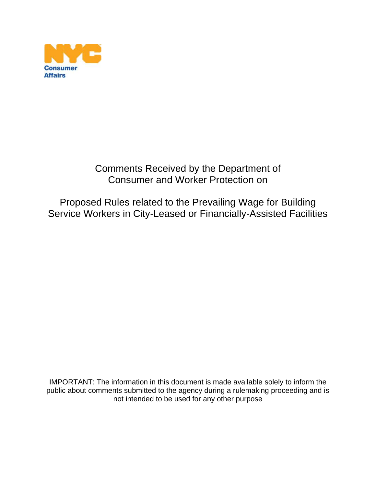

Comments Received by the Department of Consumer and Worker Protection on

Proposed Rules related to the Prevailing Wage for Building Service Workers in City-Leased or Financially-Assisted Facilities

IMPORTANT: The information in this document is made available solely to inform the public about comments submitted to the agency during a rulemaking proceeding and is not intended to be used for any other purpose